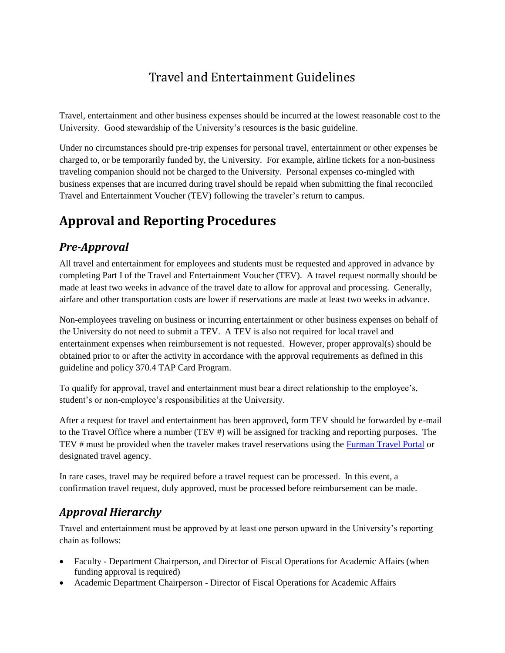# Travel and Entertainment Guidelines

Travel, entertainment and other business expenses should be incurred at the lowest reasonable cost to the University. Good stewardship of the University's resources is the basic guideline.

Under no circumstances should pre-trip expenses for personal travel, entertainment or other expenses be charged to, or be temporarily funded by, the University. For example, airline tickets for a non-business traveling companion should not be charged to the University. Personal expenses co-mingled with business expenses that are incurred during travel should be repaid when submitting the final reconciled Travel and Entertainment Voucher (TEV) following the traveler's return to campus.

# **Approval and Reporting Procedures**

## *Pre-Approval*

All travel and entertainment for employees and students must be requested and approved in advance by completing Part I of the Travel and Entertainment Voucher (TEV). A travel request normally should be made at least two weeks in advance of the travel date to allow for approval and processing. Generally, airfare and other transportation costs are lower if reservations are made at least two weeks in advance.

Non-employees traveling on business or incurring entertainment or other business expenses on behalf of the University do not need to submit a TEV. A TEV is also not required for local travel and entertainment expenses when reimbursement is not requested. However, proper approval(s) should be obtained prior to or after the activity in accordance with the approval requirements as defined in this guideline and policy 370.4 TAP Card Program.

To qualify for approval, travel and entertainment must bear a direct relationship to the employee's, student's or non-employee's responsibilities at the University.

After a request for travel and entertainment has been approved, form TEV should be forwarded by e-mail to the Travel Office where a number (TEV #) will be assigned for tracking and reporting purposes. The TEV # must be provided when the traveler makes travel reservations using the [Furman Travel Portal](https://ctp.travelinc.com/?cid=$%5eZnVybWFu) or designated travel agency.

In rare cases, travel may be required before a travel request can be processed. In this event, a confirmation travel request, duly approved, must be processed before reimbursement can be made.

## <span id="page-0-0"></span>*Approval Hierarchy*

Travel and entertainment must be approved by at least one person upward in the University's reporting chain as follows:

- Faculty Department Chairperson, and Director of Fiscal Operations for Academic Affairs (when funding approval is required)
- Academic Department Chairperson Director of Fiscal Operations for Academic Affairs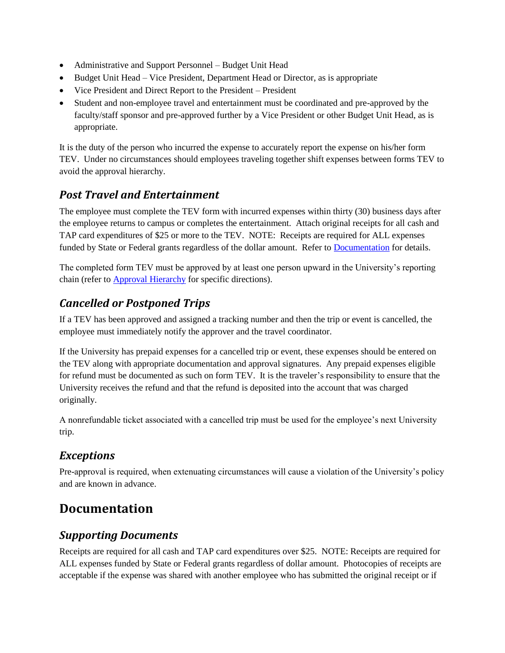- Administrative and Support Personnel Budget Unit Head
- Budget Unit Head Vice President, Department Head or Director, as is appropriate
- Vice President and Direct Report to the President President
- Student and non-employee travel and entertainment must be coordinated and pre-approved by the faculty/staff sponsor and pre-approved further by a Vice President or other Budget Unit Head, as is appropriate.

It is the duty of the person who incurred the expense to accurately report the expense on his/her form TEV. Under no circumstances should employees traveling together shift expenses between forms TEV to avoid the approval hierarchy.

## *Post Travel and Entertainment*

The employee must complete the TEV form with incurred expenses within thirty (30) business days after the employee returns to campus or completes the entertainment. Attach original receipts for all cash and TAP card expenditures of \$25 or more to the TEV. NOTE: Receipts are required for ALL expenses funded by State or Federal grants regardless of the dollar amount. Refer to [Documentation](#page-1-0) for details.

The completed form TEV must be approved by at least one person upward in the University's reporting chain (refer to **Approval Hierarchy** for specific directions).

## *Cancelled or Postponed Trips*

If a TEV has been approved and assigned a tracking number and then the trip or event is cancelled, the employee must immediately notify the approver and the travel coordinator.

If the University has prepaid expenses for a cancelled trip or event, these expenses should be entered on the TEV along with appropriate documentation and approval signatures. Any prepaid expenses eligible for refund must be documented as such on form TEV. It is the traveler's responsibility to ensure that the University receives the refund and that the refund is deposited into the account that was charged originally.

A nonrefundable ticket associated with a cancelled trip must be used for the employee's next University trip.

### *Exceptions*

Pre-approval is required, when extenuating circumstances will cause a violation of the University's policy and are known in advance.

# <span id="page-1-0"></span>**Documentation**

## *Supporting Documents*

Receipts are required for all cash and TAP card expenditures over \$25. NOTE: Receipts are required for ALL expenses funded by State or Federal grants regardless of dollar amount. Photocopies of receipts are acceptable if the expense was shared with another employee who has submitted the original receipt or if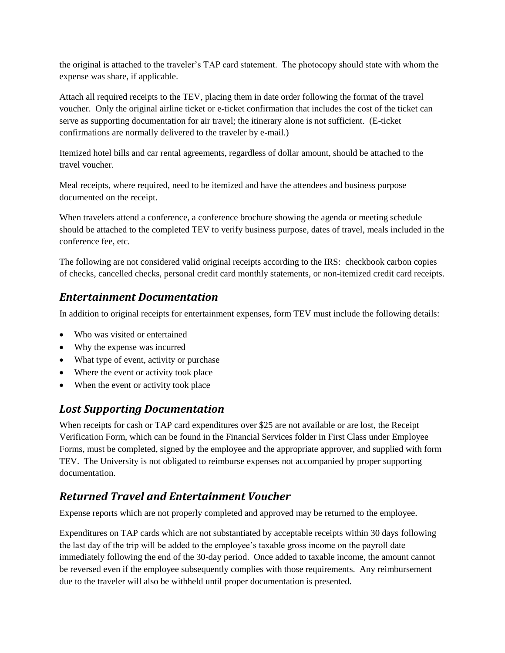the original is attached to the traveler's TAP card statement. The photocopy should state with whom the expense was share, if applicable.

Attach all required receipts to the TEV, placing them in date order following the format of the travel voucher. Only the original airline ticket or e-ticket confirmation that includes the cost of the ticket can serve as supporting documentation for air travel; the itinerary alone is not sufficient. (E-ticket confirmations are normally delivered to the traveler by e-mail.)

Itemized hotel bills and car rental agreements, regardless of dollar amount, should be attached to the travel voucher.

Meal receipts, where required, need to be itemized and have the attendees and business purpose documented on the receipt.

When travelers attend a conference, a conference brochure showing the agenda or meeting schedule should be attached to the completed TEV to verify business purpose, dates of travel, meals included in the conference fee, etc.

The following are not considered valid original receipts according to the IRS: checkbook carbon copies of checks, cancelled checks, personal credit card monthly statements, or non-itemized credit card receipts.

## <span id="page-2-0"></span>*Entertainment Documentation*

In addition to original receipts for entertainment expenses, form TEV must include the following details:

- Who was visited or entertained
- Why the expense was incurred
- What type of event, activity or purchase
- Where the event or activity took place
- When the event or activity took place

## *Lost Supporting Documentation*

When receipts for cash or TAP card expenditures over \$25 are not available or are lost, the Receipt Verification Form, which can be found in the Financial Services folder in First Class under Employee Forms, must be completed, signed by the employee and the appropriate approver, and supplied with form TEV. The University is not obligated to reimburse expenses not accompanied by proper supporting documentation.

## *Returned Travel and Entertainment Voucher*

Expense reports which are not properly completed and approved may be returned to the employee.

Expenditures on TAP cards which are not substantiated by acceptable receipts within 30 days following the last day of the trip will be added to the employee's taxable gross income on the payroll date immediately following the end of the 30-day period. Once added to taxable income, the amount cannot be reversed even if the employee subsequently complies with those requirements. Any reimbursement due to the traveler will also be withheld until proper documentation is presented.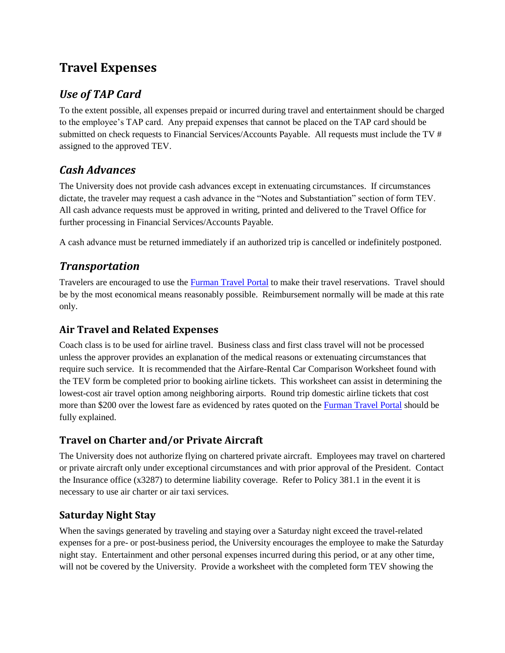# **Travel Expenses**

## *Use of TAP Card*

To the extent possible, all expenses prepaid or incurred during travel and entertainment should be charged to the employee's TAP card. Any prepaid expenses that cannot be placed on the TAP card should be submitted on check requests to Financial Services/Accounts Payable. All requests must include the TV # assigned to the approved TEV.

## *Cash Advances*

The University does not provide cash advances except in extenuating circumstances. If circumstances dictate, the traveler may request a cash advance in the "Notes and Substantiation" section of form TEV. All cash advance requests must be approved in writing, printed and delivered to the Travel Office for further processing in Financial Services/Accounts Payable.

A cash advance must be returned immediately if an authorized trip is cancelled or indefinitely postponed.

## *Transportation*

Travelers are encouraged to use the [Furman Travel Portal](https://ctp.travelinc.com/?cid=$%5eZnVybWFu) to make their travel reservations. Travel should be by the most economical means reasonably possible. Reimbursement normally will be made at this rate only.

## **Air Travel and Related Expenses**

Coach class is to be used for airline travel. Business class and first class travel will not be processed unless the approver provides an explanation of the medical reasons or extenuating circumstances that require such service. It is recommended that the Airfare-Rental Car Comparison Worksheet found with the TEV form be completed prior to booking airline tickets. This worksheet can assist in determining the lowest-cost air travel option among neighboring airports. Round trip domestic airline tickets that cost more than \$200 over the lowest fare as evidenced by rates quoted on the [Furman Travel Portal](https://ctp.travelinc.com/?cid=$%5eZnVybWFu) should be fully explained.

## **Travel on Charter and/or Private Aircraft**

The University does not authorize flying on chartered private aircraft. Employees may travel on chartered or private aircraft only under exceptional circumstances and with prior approval of the President. Contact the Insurance office (x3287) to determine liability coverage. Refer to Policy 381.1 in the event it is necessary to use air charter or air taxi services.

## **Saturday Night Stay**

When the savings generated by traveling and staying over a Saturday night exceed the travel-related expenses for a pre- or post-business period, the University encourages the employee to make the Saturday night stay. Entertainment and other personal expenses incurred during this period, or at any other time, will not be covered by the University. Provide a worksheet with the completed form TEV showing the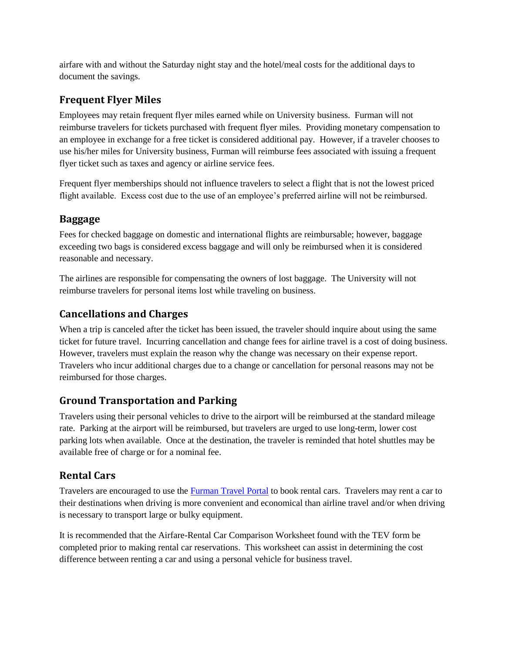airfare with and without the Saturday night stay and the hotel/meal costs for the additional days to document the savings.

### **Frequent Flyer Miles**

Employees may retain frequent flyer miles earned while on University business. Furman will not reimburse travelers for tickets purchased with frequent flyer miles. Providing monetary compensation to an employee in exchange for a free ticket is considered additional pay. However, if a traveler chooses to use his/her miles for University business, Furman will reimburse fees associated with issuing a frequent flyer ticket such as taxes and agency or airline service fees.

Frequent flyer memberships should not influence travelers to select a flight that is not the lowest priced flight available. Excess cost due to the use of an employee's preferred airline will not be reimbursed.

#### **Baggage**

Fees for checked baggage on domestic and international flights are reimbursable; however, baggage exceeding two bags is considered excess baggage and will only be reimbursed when it is considered reasonable and necessary.

The airlines are responsible for compensating the owners of lost baggage. The University will not reimburse travelers for personal items lost while traveling on business.

### **Cancellations and Charges**

When a trip is canceled after the ticket has been issued, the traveler should inquire about using the same ticket for future travel. Incurring cancellation and change fees for airline travel is a cost of doing business. However, travelers must explain the reason why the change was necessary on their expense report. Travelers who incur additional charges due to a change or cancellation for personal reasons may not be reimbursed for those charges.

#### **Ground Transportation and Parking**

Travelers using their personal vehicles to drive to the airport will be reimbursed at the standard mileage rate. Parking at the airport will be reimbursed, but travelers are urged to use long-term, lower cost parking lots when available. Once at the destination, the traveler is reminded that hotel shuttles may be available free of charge or for a nominal fee.

### **Rental Cars**

Travelers are encouraged to use the [Furman Travel Portal](https://ctp.travelinc.com/?cid=$%5eZnVybWFu) to book rental cars. Travelers may rent a car to their destinations when driving is more convenient and economical than airline travel and/or when driving is necessary to transport large or bulky equipment.

It is recommended that the Airfare-Rental Car Comparison Worksheet found with the TEV form be completed prior to making rental car reservations. This worksheet can assist in determining the cost difference between renting a car and using a personal vehicle for business travel.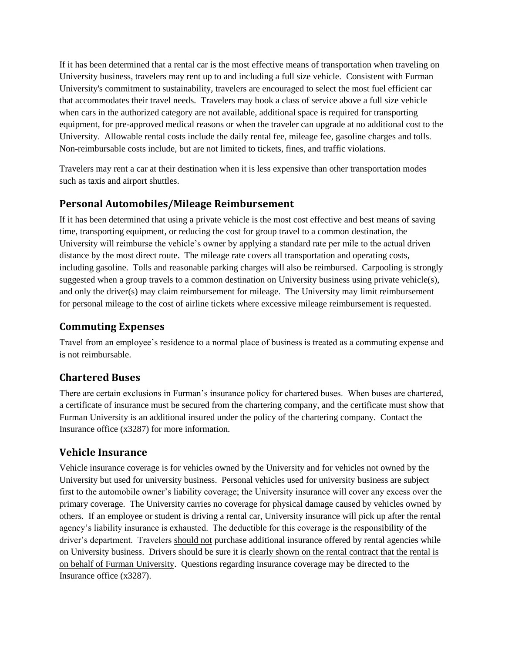If it has been determined that a rental car is the most effective means of transportation when traveling on University business, travelers may rent up to and including a full size vehicle. Consistent with Furman University's commitment to sustainability, travelers are encouraged to select the most fuel efficient car that accommodates their travel needs. Travelers may book a class of service above a full size vehicle when cars in the authorized category are not available, additional space is required for transporting equipment, for pre-approved medical reasons or when the traveler can upgrade at no additional cost to the University. Allowable rental costs include the daily rental fee, mileage fee, gasoline charges and tolls. Non-reimbursable costs include, but are not limited to tickets, fines, and traffic violations.

Travelers may rent a car at their destination when it is less expensive than other transportation modes such as taxis and airport shuttles.

#### **Personal Automobiles/Mileage Reimbursement**

If it has been determined that using a private vehicle is the most cost effective and best means of saving time, transporting equipment, or reducing the cost for group travel to a common destination, the University will reimburse the vehicle's owner by applying a standard rate per mile to the actual driven distance by the most direct route. The mileage rate covers all transportation and operating costs, including gasoline. Tolls and reasonable parking charges will also be reimbursed. Carpooling is strongly suggested when a group travels to a common destination on University business using private vehicle(s), and only the driver(s) may claim reimbursement for mileage. The University may limit reimbursement for personal mileage to the cost of airline tickets where excessive mileage reimbursement is requested.

#### **Commuting Expenses**

Travel from an employee's residence to a normal place of business is treated as a commuting expense and is not reimbursable.

### **Chartered Buses**

There are certain exclusions in Furman's insurance policy for chartered buses. When buses are chartered, a certificate of insurance must be secured from the chartering company, and the certificate must show that Furman University is an additional insured under the policy of the chartering company. Contact the Insurance office (x3287) for more information.

### **Vehicle Insurance**

Vehicle insurance coverage is for vehicles owned by the University and for vehicles not owned by the University but used for university business. Personal vehicles used for university business are subject first to the automobile owner's liability coverage; the University insurance will cover any excess over the primary coverage. The University carries no coverage for physical damage caused by vehicles owned by others. If an employee or student is driving a rental car, University insurance will pick up after the rental agency's liability insurance is exhausted. The deductible for this coverage is the responsibility of the driver's department. Travelers should not purchase additional insurance offered by rental agencies while on University business. Drivers should be sure it is clearly shown on the rental contract that the rental is on behalf of Furman University. Questions regarding insurance coverage may be directed to the Insurance office (x3287).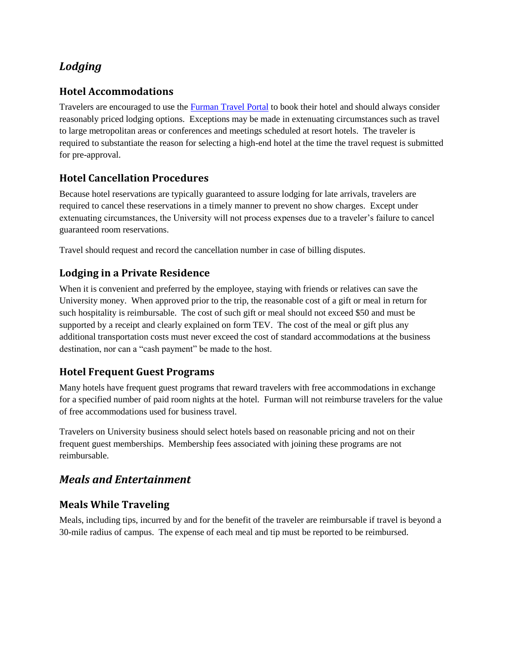## *Lodging*

### **Hotel Accommodations**

Travelers are encouraged to use the [Furman Travel Portal](https://ctp.travelinc.com/?cid=$%5eZnVybWFu) to book their hotel and should always consider reasonably priced lodging options. Exceptions may be made in extenuating circumstances such as travel to large metropolitan areas or conferences and meetings scheduled at resort hotels. The traveler is required to substantiate the reason for selecting a high-end hotel at the time the travel request is submitted for pre-approval.

## **Hotel Cancellation Procedures**

Because hotel reservations are typically guaranteed to assure lodging for late arrivals, travelers are required to cancel these reservations in a timely manner to prevent no show charges. Except under extenuating circumstances, the University will not process expenses due to a traveler's failure to cancel guaranteed room reservations.

Travel should request and record the cancellation number in case of billing disputes.

### **Lodging in a Private Residence**

When it is convenient and preferred by the employee, staying with friends or relatives can save the University money. When approved prior to the trip, the reasonable cost of a gift or meal in return for such hospitality is reimbursable. The cost of such gift or meal should not exceed \$50 and must be supported by a receipt and clearly explained on form TEV. The cost of the meal or gift plus any additional transportation costs must never exceed the cost of standard accommodations at the business destination, nor can a "cash payment" be made to the host.

### **Hotel Frequent Guest Programs**

Many hotels have frequent guest programs that reward travelers with free accommodations in exchange for a specified number of paid room nights at the hotel. Furman will not reimburse travelers for the value of free accommodations used for business travel.

Travelers on University business should select hotels based on reasonable pricing and not on their frequent guest memberships. Membership fees associated with joining these programs are not reimbursable.

## *Meals and Entertainment*

#### **Meals While Traveling**

Meals, including tips, incurred by and for the benefit of the traveler are reimbursable if travel is beyond a 30-mile radius of campus. The expense of each meal and tip must be reported to be reimbursed.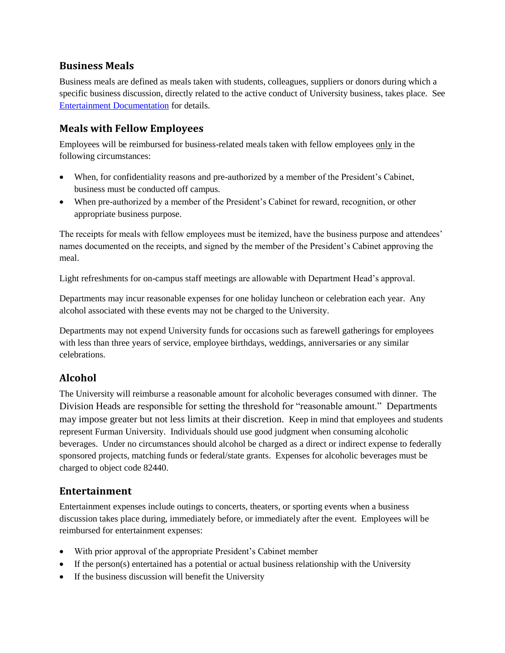#### **Business Meals**

Business meals are defined as meals taken with students, colleagues, suppliers or donors during which a specific business discussion, directly related to the active conduct of University business, takes place. See [Entertainment Documentation](#page-2-0) for details.

#### **Meals with Fellow Employees**

Employees will be reimbursed for business-related meals taken with fellow employees only in the following circumstances:

- When, for confidentiality reasons and pre-authorized by a member of the President's Cabinet, business must be conducted off campus.
- When pre-authorized by a member of the President's Cabinet for reward, recognition, or other appropriate business purpose.

The receipts for meals with fellow employees must be itemized, have the business purpose and attendees' names documented on the receipts, and signed by the member of the President's Cabinet approving the meal.

Light refreshments for on-campus staff meetings are allowable with Department Head's approval.

Departments may incur reasonable expenses for one holiday luncheon or celebration each year. Any alcohol associated with these events may not be charged to the University.

Departments may not expend University funds for occasions such as farewell gatherings for employees with less than three years of service, employee birthdays, weddings, anniversaries or any similar celebrations.

### **Alcohol**

The University will reimburse a reasonable amount for alcoholic beverages consumed with dinner. The Division Heads are responsible for setting the threshold for "reasonable amount." Departments may impose greater but not less limits at their discretion. Keep in mind that employees and students represent Furman University. Individuals should use good judgment when consuming alcoholic beverages. Under no circumstances should alcohol be charged as a direct or indirect expense to federally sponsored projects, matching funds or federal/state grants. Expenses for alcoholic beverages must be charged to object code 82440.

#### **Entertainment**

Entertainment expenses include outings to concerts, theaters, or sporting events when a business discussion takes place during, immediately before, or immediately after the event. Employees will be reimbursed for entertainment expenses:

- With prior approval of the appropriate President's Cabinet member
- $\bullet$  If the person(s) entertained has a potential or actual business relationship with the University
- If the business discussion will benefit the University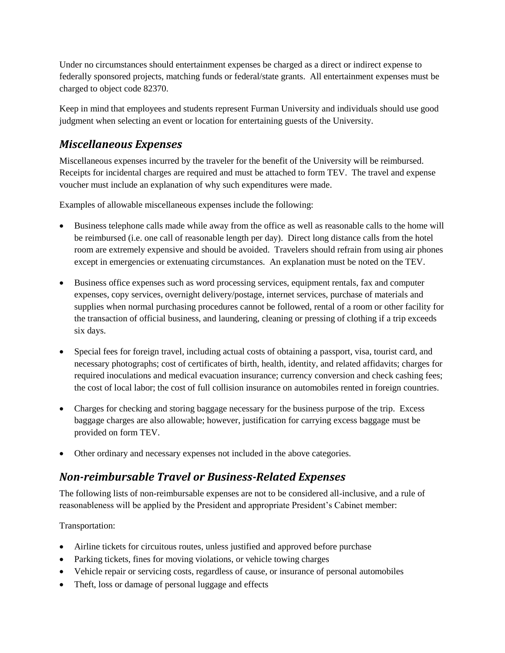Under no circumstances should entertainment expenses be charged as a direct or indirect expense to federally sponsored projects, matching funds or federal/state grants. All entertainment expenses must be charged to object code 82370.

Keep in mind that employees and students represent Furman University and individuals should use good judgment when selecting an event or location for entertaining guests of the University.

## *Miscellaneous Expenses*

Miscellaneous expenses incurred by the traveler for the benefit of the University will be reimbursed. Receipts for incidental charges are required and must be attached to form TEV. The travel and expense voucher must include an explanation of why such expenditures were made.

Examples of allowable miscellaneous expenses include the following:

- Business telephone calls made while away from the office as well as reasonable calls to the home will be reimbursed (i.e. one call of reasonable length per day). Direct long distance calls from the hotel room are extremely expensive and should be avoided. Travelers should refrain from using air phones except in emergencies or extenuating circumstances. An explanation must be noted on the TEV.
- Business office expenses such as word processing services, equipment rentals, fax and computer expenses, copy services, overnight delivery/postage, internet services, purchase of materials and supplies when normal purchasing procedures cannot be followed, rental of a room or other facility for the transaction of official business, and laundering, cleaning or pressing of clothing if a trip exceeds six days.
- Special fees for foreign travel, including actual costs of obtaining a passport, visa, tourist card, and necessary photographs; cost of certificates of birth, health, identity, and related affidavits; charges for required inoculations and medical evacuation insurance; currency conversion and check cashing fees; the cost of local labor; the cost of full collision insurance on automobiles rented in foreign countries.
- Charges for checking and storing baggage necessary for the business purpose of the trip. Excess baggage charges are also allowable; however, justification for carrying excess baggage must be provided on form TEV.
- Other ordinary and necessary expenses not included in the above categories.

## *Non-reimbursable Travel or Business-Related Expenses*

The following lists of non-reimbursable expenses are not to be considered all-inclusive, and a rule of reasonableness will be applied by the President and appropriate President's Cabinet member:

#### Transportation:

- Airline tickets for circuitous routes, unless justified and approved before purchase
- Parking tickets, fines for moving violations, or vehicle towing charges
- Vehicle repair or servicing costs, regardless of cause, or insurance of personal automobiles
- Theft, loss or damage of personal luggage and effects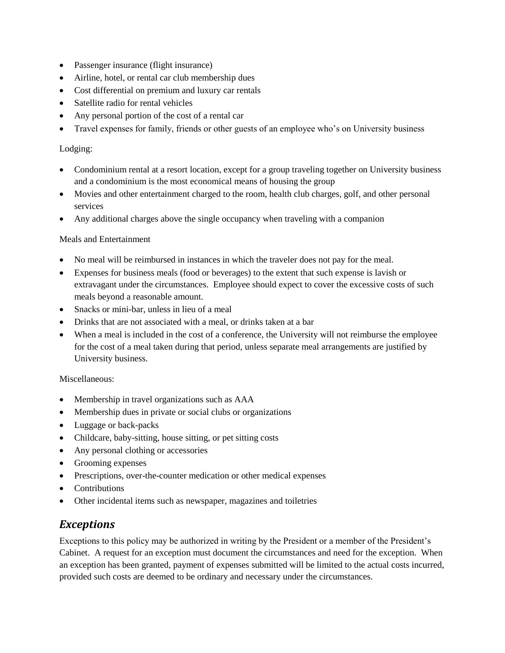- Passenger insurance (flight insurance)
- Airline, hotel, or rental car club membership dues
- Cost differential on premium and luxury car rentals
- Satellite radio for rental vehicles
- Any personal portion of the cost of a rental car
- Travel expenses for family, friends or other guests of an employee who's on University business

#### Lodging:

- Condominium rental at a resort location, except for a group traveling together on University business and a condominium is the most economical means of housing the group
- Movies and other entertainment charged to the room, health club charges, golf, and other personal services
- Any additional charges above the single occupancy when traveling with a companion

#### Meals and Entertainment

- No meal will be reimbursed in instances in which the traveler does not pay for the meal.
- Expenses for business meals (food or beverages) to the extent that such expense is lavish or extravagant under the circumstances. Employee should expect to cover the excessive costs of such meals beyond a reasonable amount.
- Snacks or mini-bar, unless in lieu of a meal
- Drinks that are not associated with a meal, or drinks taken at a bar
- When a meal is included in the cost of a conference, the University will not reimburse the employee for the cost of a meal taken during that period, unless separate meal arrangements are justified by University business.

#### Miscellaneous:

- Membership in travel organizations such as AAA
- Membership dues in private or social clubs or organizations
- Luggage or back-packs
- Childcare, baby-sitting, house sitting, or pet sitting costs
- Any personal clothing or accessories
- Grooming expenses
- Prescriptions, over-the-counter medication or other medical expenses
- **Contributions**
- Other incidental items such as newspaper, magazines and toiletries

### *Exceptions*

Exceptions to this policy may be authorized in writing by the President or a member of the President's Cabinet. A request for an exception must document the circumstances and need for the exception. When an exception has been granted, payment of expenses submitted will be limited to the actual costs incurred, provided such costs are deemed to be ordinary and necessary under the circumstances.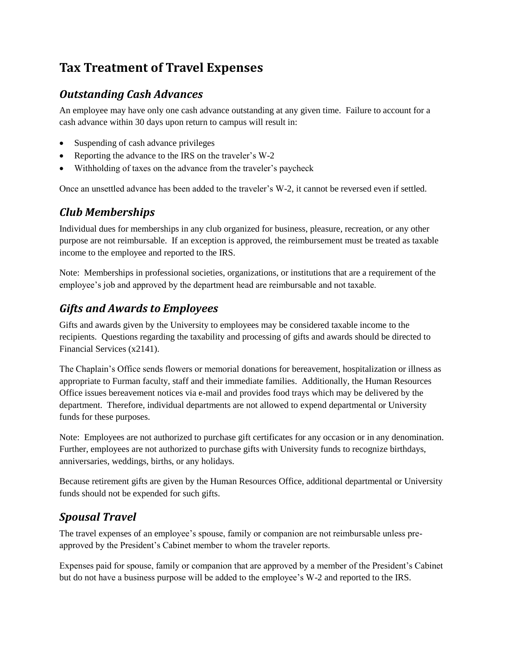# **Tax Treatment of Travel Expenses**

## *Outstanding Cash Advances*

An employee may have only one cash advance outstanding at any given time. Failure to account for a cash advance within 30 days upon return to campus will result in:

- Suspending of cash advance privileges
- Reporting the advance to the IRS on the traveler's W-2
- Withholding of taxes on the advance from the traveler's paycheck

Once an unsettled advance has been added to the traveler's W-2, it cannot be reversed even if settled.

## *Club Memberships*

Individual dues for memberships in any club organized for business, pleasure, recreation, or any other purpose are not reimbursable. If an exception is approved, the reimbursement must be treated as taxable income to the employee and reported to the IRS.

Note: Memberships in professional societies, organizations, or institutions that are a requirement of the employee's job and approved by the department head are reimbursable and not taxable.

## *Gifts and Awards to Employees*

Gifts and awards given by the University to employees may be considered taxable income to the recipients. Questions regarding the taxability and processing of gifts and awards should be directed to Financial Services (x2141).

The Chaplain's Office sends flowers or memorial donations for bereavement, hospitalization or illness as appropriate to Furman faculty, staff and their immediate families. Additionally, the Human Resources Office issues bereavement notices via e-mail and provides food trays which may be delivered by the department. Therefore, individual departments are not allowed to expend departmental or University funds for these purposes.

Note: Employees are not authorized to purchase gift certificates for any occasion or in any denomination. Further, employees are not authorized to purchase gifts with University funds to recognize birthdays, anniversaries, weddings, births, or any holidays.

Because retirement gifts are given by the Human Resources Office, additional departmental or University funds should not be expended for such gifts.

## *Spousal Travel*

The travel expenses of an employee's spouse, family or companion are not reimbursable unless preapproved by the President's Cabinet member to whom the traveler reports.

Expenses paid for spouse, family or companion that are approved by a member of the President's Cabinet but do not have a business purpose will be added to the employee's W-2 and reported to the IRS.